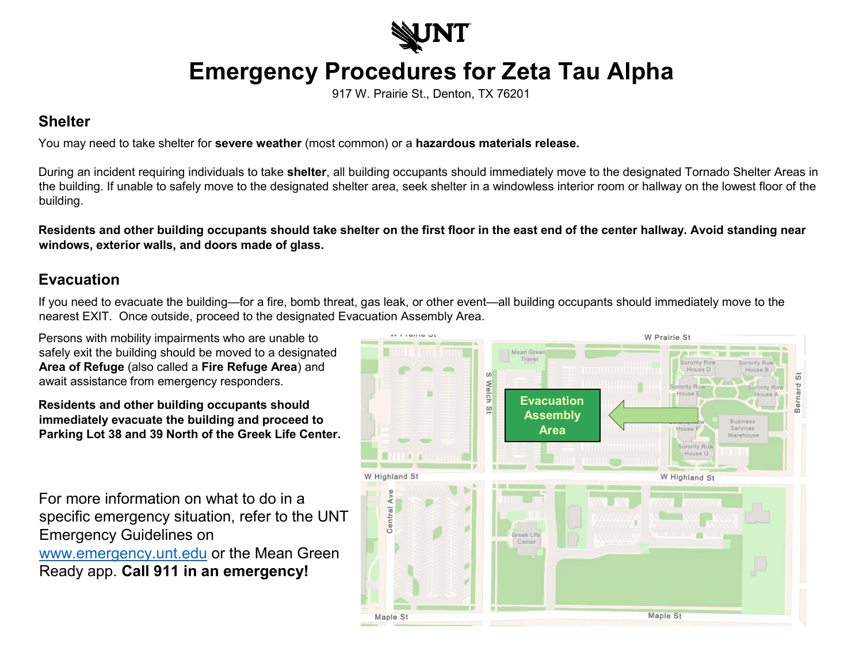

## **Emergency Procedures for Zeta Tau Alpha**

917 W. Prairie St., Denton, TX 76201

## **Shelter**

You may need to take shelter for **severe weather** (most common) or a **hazardous materials release.**

During an incident requiring individuals to take **shelter**, all building occupants should immediately move to the designated Tornado Shelter Areas in the building. If unable to safely move to the designated shelter area, seek shelter in a windowless interior room or hallway on the lowest floor of the building.

**Residents and other building occupants should take shelter on the first floor in the east end of the center hallway. Avoid standing near windows, exterior walls, and doors made of glass.** 

## **Evacuation**

If you need to evacuate the building—for a fire, bomb threat, gas leak, or other event—all building occupants should immediately move to the nearest EXIT. Once outside, proceed to the designated Evacuation Assembly Area.

Persons with mobility impairments who are unable to safely exit the building should be moved to a designated **Area of Refuge** (also called a **Fire Refuge Area**) and await assistance from emergency responders.

**Residents and other building occupants should immediately evacuate the building and proceed to Parking Lot 38 and 39 North of the Greek Life Center.**

For more information on what to do in a specific emergency situation, refer to the UNT Emergency Guidelines on [www.emergency.unt.edu](http://www.emergency.unt.edu/) or the Mean Green Ready app. **Call 911 in an emergency!**

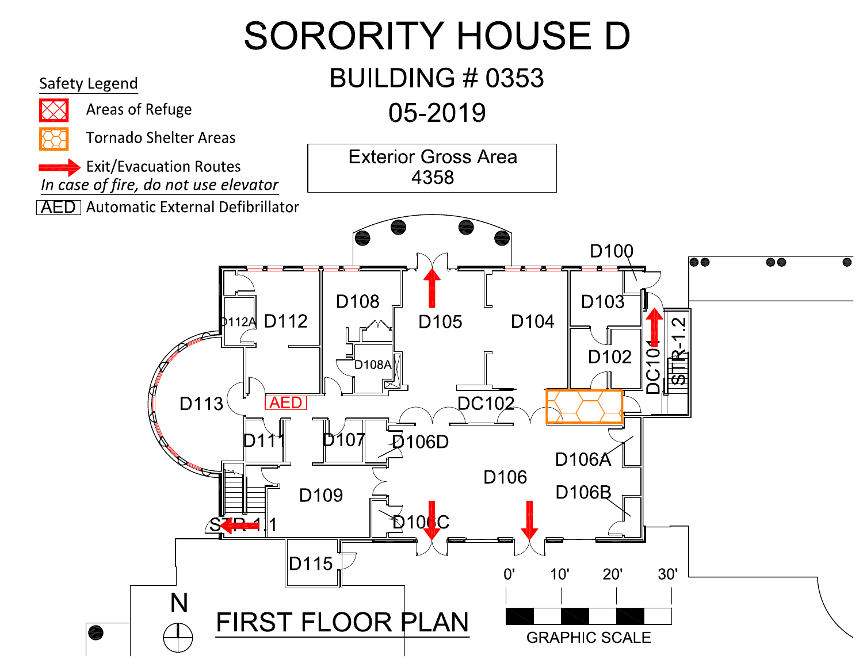